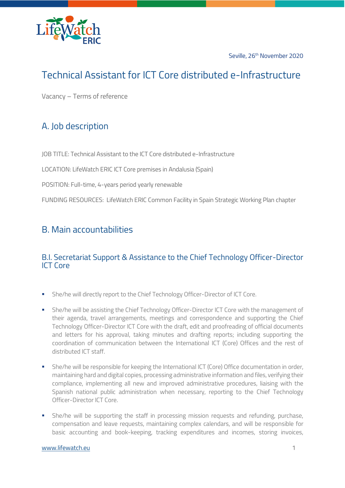

Seville, 26<sup>th</sup> November 2020

# Technical Assistant for ICT Core distributed e-Infrastructure

Vacancy – Terms of reference

## A. Job description

JOB TITLE: Technical Assistant to the ICT Core distributed e-Infrastructure

LOCATION: LifeWatch ERIC ICT Core premises in Andalusia (Spain)

POSITION: Full-time, 4-years period yearly renewable

FUNDING RESOURCES: LifeWatch ERIC Common Facility in Spain Strategic Working Plan chapter

### B. Main accountabilities

#### B.I. Secretariat Support & Assistance to the Chief Technology Officer-Director ICT Core

- **She/he will directly report to the Chief Technology Officer-Director of ICT Core.**
- **•** She/he will be assisting the Chief Technology Officer-Director ICT Core with the management of their agenda, travel arrangements, meetings and correspondence and supporting the Chief Technology Officer-Director ICT Core with the draft, edit and proofreading of official documents and letters for his approval, taking minutes and drafting reports; including supporting the coordination of communication between the International ICT (Core) Offices and the rest of distributed ICT staff.
- **EXECTE:** She/he will be responsible for keeping the International ICT (Core) Office documentation in order, maintaining hard and digital copies, processing administrative information and files, verifying their compliance, implementing all new and improved administrative procedures, liaising with the Spanish national public administration when necessary, reporting to the Chief Technology Officer-Director ICT Core.
- **•** She/he will be supporting the staff in processing mission requests and refunding, purchase, compensation and leave requests, maintaining complex calendars, and will be responsible for basic accounting and book-keeping, tracking expenditures and incomes, storing invoices,

#### [www.lifewatch.eu](https://www.lifewatch.eu/) 1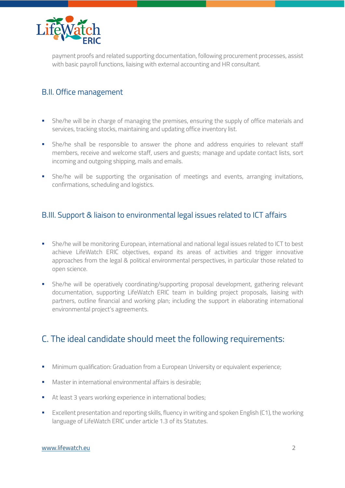

payment proofs and related supporting documentation, following procurement processes, assist with basic payroll functions, liaising with external accounting and HR consultant.

### B.II. Office management

- **•** She/he will be in charge of managing the premises, ensuring the supply of office materials and services, tracking stocks, maintaining and updating office inventory list.
- **•** She/he shall be responsible to answer the phone and address enquiries to relevant staff members, receive and welcome staff, users and guests; manage and update contact lists, sort incoming and outgoing shipping, mails and emails.
- **•** She/he will be supporting the organisation of meetings and events, arranging invitations, confirmations, scheduling and logistics.

### B.III. Support & liaison to environmental legal issues related to ICT affairs

- **She/he will be monitoring European, international and national legal issues related to ICT to best** achieve LifeWatch ERIC objectives, expand its areas of activities and trigger innovative approaches from the legal & political environmental perspectives, in particular those related to open science.
- **•** She/he will be operatively coordinating/supporting proposal development, gathering relevant documentation, supporting LifeWatch ERIC team in building project proposals, liaising with partners, outline financial and working plan; including the support in elaborating international environmental project's agreements.

## C. The ideal candidate should meet the following requirements:

- **■** Minimum qualification: Graduation from a European University or equivalent experience;
- Master in international environmental affairs is desirable;
- At least 3 years working experience in international bodies;
- Excellent presentation and reporting skills, fluency in writing and spoken English (C1), the working language of LifeWatch ERIC under article 1.3 of its Statutes.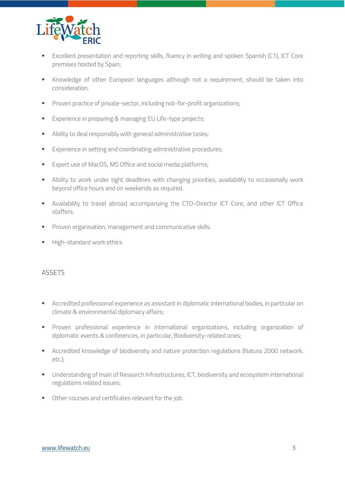

- Excellent presentation and reporting skills, fluency in writing and spoken Spanish (C1), ICT Core premises hosted by Spain;
- Knowledge of other European languages although not a requirement, should be taken into consideration.
- **•** Proven practice of private-sector, including not-for-profit organizations;
- Experience in preparing & managing EU Life-type projects;
- **■** Ability to deal responsibly with general administrative tasks;
- **Experience in setting and coordinating administrative procedures;**
- Expert use of MacOS, MS Office and social media platforms;
- **EXT** Ability to work under tight deadlines with changing priorities, availability to occasionally work beyond office hours and on weekends as required.
- Availability to travel abroad accompanying the CTO-Director ICT Core, and other ICT Office staffers;
- Proven organisation, management and communicative skills.
- **■** High-standard work ethics

#### **ASSETS**

- Accredited professional experience as assistant in diplomatic international bodies, in particular on climate & environmental diplomacy affairs;
- Proven professional experience in international organizations, including organization of diplomatic events & conferences, in particular, Biodiversity-related ones;
- Accredited knowledge of biodiversity and nature protection regulations (Natura 2000 network, etc.);
- **■** Understanding of main of Research Infrastructures, ICT, biodiversity and ecosystem international regulations related issues;
- Other courses and certificates relevant for the job.